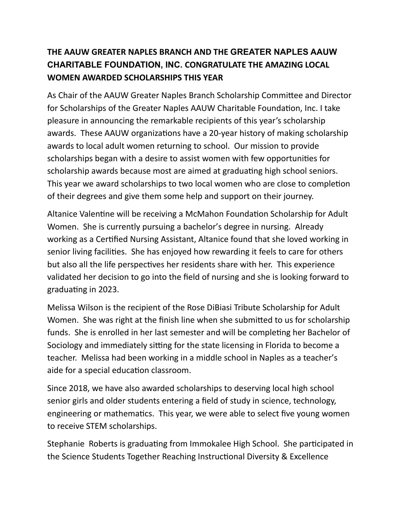## **THE AAUW GREATER NAPLES BRANCH AND THE GREATER NAPLES AAUW CHARITABLE FOUNDATION, INC. CONGRATULATE THE AMAZING LOCAL WOMEN AWARDED SCHOLARSHIPS THIS YEAR**

As Chair of the AAUW Greater Naples Branch Scholarship Committee and Director for Scholarships of the Greater Naples AAUW Charitable Foundation, Inc. I take pleasure in announcing the remarkable recipients of this year's scholarship awards. These AAUW organizations have a 20-year history of making scholarship awards to local adult women returning to school. Our mission to provide scholarships began with a desire to assist women with few opportunities for scholarship awards because most are aimed at graduating high school seniors. This year we award scholarships to two local women who are close to completion of their degrees and give them some help and support on their journey.

Altanice Valentine will be receiving a McMahon Foundation Scholarship for Adult Women. She is currently pursuing a bachelor's degree in nursing. Already working as a Certified Nursing Assistant, Altanice found that she loved working in senior living facilities. She has enjoyed how rewarding it feels to care for others but also all the life perspectives her residents share with her. This experience validated her decision to go into the field of nursing and she is looking forward to graduating in 2023.

Melissa Wilson is the recipient of the Rose DiBiasi Tribute Scholarship for Adult Women. She was right at the finish line when she submitted to us for scholarship funds. She is enrolled in her last semester and will be completing her Bachelor of Sociology and immediately sitting for the state licensing in Florida to become a teacher. Melissa had been working in a middle school in Naples as a teacher's aide for a special education classroom.

Since 2018, we have also awarded scholarships to deserving local high school senior girls and older students entering a field of study in science, technology, engineering or mathematics. This year, we were able to select five young women to receive STEM scholarships.

Stephanie Roberts is graduating from Immokalee High School. She participated in the Science Students Together Reaching Instructional Diversity & Excellence